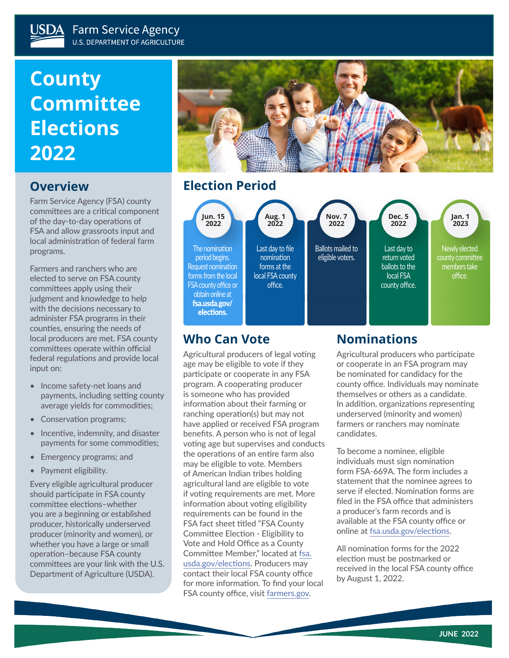# **County Committee Elections 2022**

## **Overview**

Farm Service Agency (FSA) county committees are a critical component of the day-to-day operations of FSA and allow grassroots input and local administration of federal farm programs.

Farmers and ranchers who are elected to serve on FSA county committees apply using their judgment and knowledge to help with the decisions necessary to administer FSA programs in their counties, ensuring the needs of local producers are met. FSA county committees operate within official federal regulations and provide local input on:

- Income safety-net loans and payments, including setting county average yields for commodities;
- Conservation programs;
- Incentive, indemnity, and disaster payments for some commodities;
- Emergency programs; and
- Payment eligibility.

Every eligible agricultural producer should participate in FSA county committee elections–whether you are a beginning or established producer, historically underserved producer (minority and women), or whether you have a large or small operation–because FSA county committees are your link with the U.S. Department of Agriculture (USDA).



## **Election Period**



#### **Who Can Vote**

Agricultural producers of legal voting age may be eligible to vote if they participate or cooperate in any FSA program. A cooperating producer is someone who has provided information about their farming or ranching operation(s) but may not have applied or received FSA program benefits. A person who is not of legal voting age but supervises and conducts the operations of an entire farm also may be eligible to vote. Members of American Indian tribes holding agricultural land are eligible to vote if voting requirements are met. More information about voting eligibility requirements can be found in the FSA fact sheet titled "FSA County Committee Election - Eligibility to Vote and Hold Office as a County Committee Member," located at [fsa.](http://fsa.usda.gov/elections) [usda.gov/elections](http://fsa.usda.gov/elections). Producers may contact their local FSA county office for more information. To find your local FSA county office, visit [farmers.gov.](http://farmers.gov)

## **Nominations**

Agricultural producers who participate or cooperate in an FSA program may be nominated for candidacy for the county office. Individuals may nominate themselves or others as a candidate. In addition, organizations representing underserved (minority and women) farmers or ranchers may nominate candidates.

To become a nominee, eligible individuals must sign nomination form FSA-669A. The form includes a statement that the nominee agrees to serve if elected. Nomination forms are filed in the FSA office that administers a producer's farm records and is available at the FSA county office or online at [fsa.usda.gov/elections.](http://fsa.usda.gov/elections)

All nomination forms for the 2022 election must be postmarked or received in the local FSA county office by August 1, 2022.